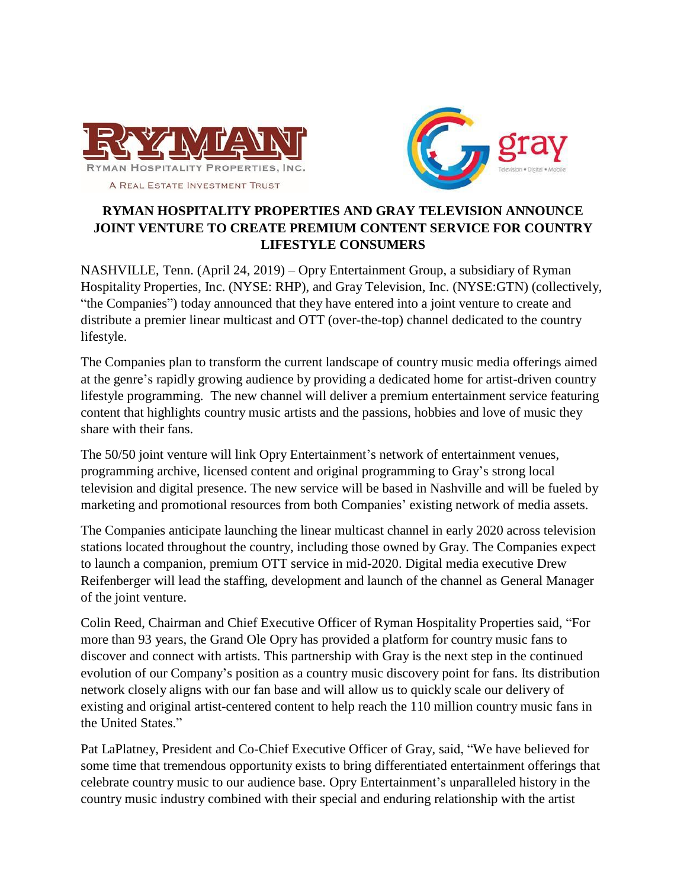



# **RYMAN HOSPITALITY PROPERTIES AND GRAY TELEVISION ANNOUNCE JOINT VENTURE TO CREATE PREMIUM CONTENT SERVICE FOR COUNTRY LIFESTYLE CONSUMERS**

NASHVILLE, Tenn. (April 24, 2019) – Opry Entertainment Group, a subsidiary of Ryman Hospitality Properties, Inc. (NYSE: RHP), and Gray Television, Inc. (NYSE:GTN) (collectively, "the Companies") today announced that they have entered into a joint venture to create and distribute a premier linear multicast and OTT (over-the-top) channel dedicated to the country lifestyle.

The Companies plan to transform the current landscape of country music media offerings aimed at the genre's rapidly growing audience by providing a dedicated home for artist-driven country lifestyle programming. The new channel will deliver a premium entertainment service featuring content that highlights country music artists and the passions, hobbies and love of music they share with their fans.

The 50/50 joint venture will link Opry Entertainment's network of entertainment venues, programming archive, licensed content and original programming to Gray's strong local television and digital presence. The new service will be based in Nashville and will be fueled by marketing and promotional resources from both Companies' existing network of media assets.

The Companies anticipate launching the linear multicast channel in early 2020 across television stations located throughout the country, including those owned by Gray. The Companies expect to launch a companion, premium OTT service in mid-2020. Digital media executive Drew Reifenberger will lead the staffing, development and launch of the channel as General Manager of the joint venture.

Colin Reed, Chairman and Chief Executive Officer of Ryman Hospitality Properties said, "For more than 93 years, the Grand Ole Opry has provided a platform for country music fans to discover and connect with artists. This partnership with Gray is the next step in the continued evolution of our Company's position as a country music discovery point for fans. Its distribution network closely aligns with our fan base and will allow us to quickly scale our delivery of existing and original artist-centered content to help reach the 110 million country music fans in the United States."

Pat LaPlatney, President and Co-Chief Executive Officer of Gray, said, "We have believed for some time that tremendous opportunity exists to bring differentiated entertainment offerings that celebrate country music to our audience base. Opry Entertainment's unparalleled history in the country music industry combined with their special and enduring relationship with the artist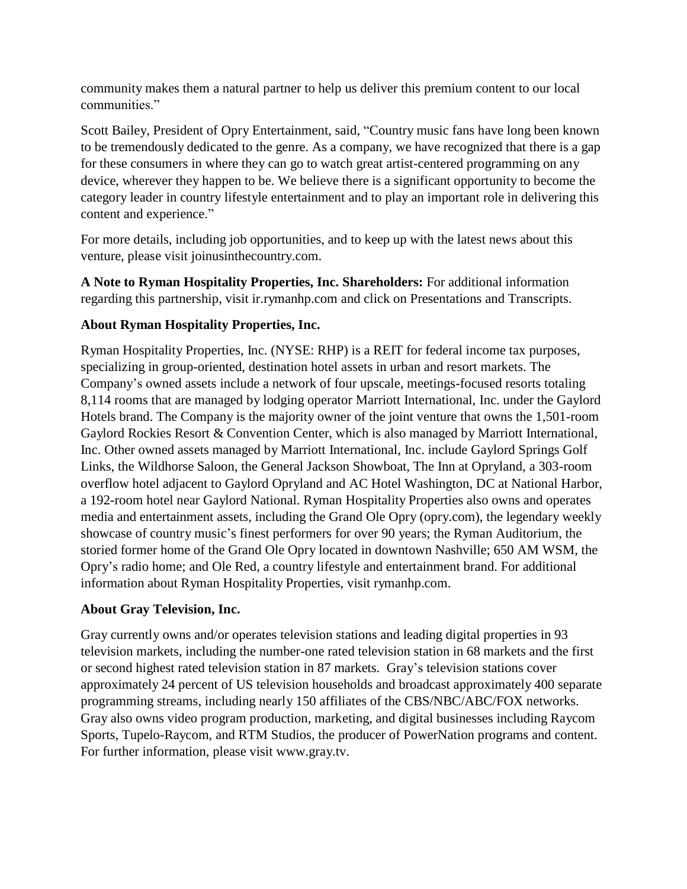community makes them a natural partner to help us deliver this premium content to our local communities."

Scott Bailey, President of Opry Entertainment, said, "Country music fans have long been known to be tremendously dedicated to the genre. As a company, we have recognized that there is a gap for these consumers in where they can go to watch great artist-centered programming on any device, wherever they happen to be. We believe there is a significant opportunity to become the category leader in country lifestyle entertainment and to play an important role in delivering this content and experience."

For more details, including job opportunities, and to keep up with the latest news about this venture, please visit joinusinthecountry.com.

**A Note to Ryman Hospitality Properties, Inc. Shareholders:** For additional information regarding this partnership, visit ir.rymanhp.com and click on Presentations and Transcripts.

# **About Ryman Hospitality Properties, Inc.**

Ryman Hospitality Properties, Inc. (NYSE: RHP) is a REIT for federal income tax purposes, specializing in group-oriented, destination hotel assets in urban and resort markets. The Company's owned assets include a network of four upscale, meetings-focused resorts totaling 8,114 rooms that are managed by lodging operator Marriott International, Inc. under the Gaylord Hotels brand. The Company is the majority owner of the joint venture that owns the 1,501-room Gaylord Rockies Resort & Convention Center, which is also managed by Marriott International, Inc. Other owned assets managed by Marriott International, Inc. include Gaylord Springs Golf Links, the Wildhorse Saloon, the General Jackson Showboat, The Inn at Opryland, a 303-room overflow hotel adjacent to Gaylord Opryland and AC Hotel Washington, DC at National Harbor, a 192-room hotel near Gaylord National. Ryman Hospitality Properties also owns and operates media and entertainment assets, including the Grand Ole Opry (opry.com), the legendary weekly showcase of country music's finest performers for over 90 years; the Ryman Auditorium, the storied former home of the Grand Ole Opry located in downtown Nashville; 650 AM WSM, the Opry's radio home; and Ole Red, a country lifestyle and entertainment brand. For additional information about Ryman Hospitality Properties, visit rymanhp.com.

## **About Gray Television, Inc.**

Gray currently owns and/or operates television stations and leading digital properties in 93 television markets, including the number-one rated television station in 68 markets and the first or second highest rated television station in 87 markets. Gray's television stations cover approximately 24 percent of US television households and broadcast approximately 400 separate programming streams, including nearly 150 affiliates of the CBS/NBC/ABC/FOX networks. Gray also owns video program production, marketing, and digital businesses including Raycom Sports, Tupelo-Raycom, and RTM Studios, the producer of PowerNation programs and content. For further information, please [visit www.gray.tv.](http://www.gray.tv/)